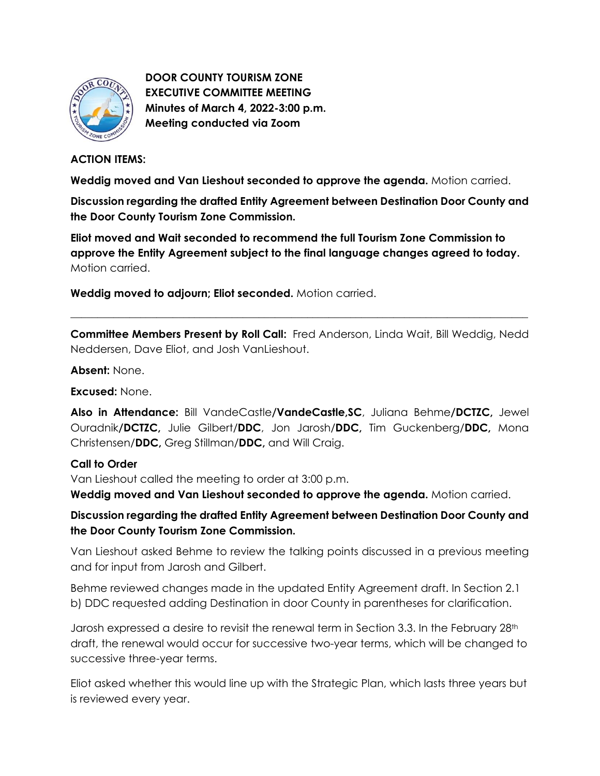

**DOOR COUNTY TOURISM ZONE EXECUTIVE COMMITTEE MEETING Minutes of March 4, 2022-3:00 p.m. Meeting conducted via Zoom**

## **ACTION ITEMS:**

**Weddig moved and Van Lieshout seconded to approve the agenda.** Motion carried.

**Discussion regarding the drafted Entity Agreement between Destination Door County and the Door County Tourism Zone Commission.**

**Eliot moved and Wait seconded to recommend the full Tourism Zone Commission to approve the Entity Agreement subject to the final language changes agreed to today.** Motion carried.

**Weddig moved to adjourn; Eliot seconded.** Motion carried.

**Committee Members Present by Roll Call:** Fred Anderson, Linda Wait, Bill Weddig, Nedd Neddersen, Dave Eliot, and Josh VanLieshout.

\_\_\_\_\_\_\_\_\_\_\_\_\_\_\_\_\_\_\_\_\_\_\_\_\_\_\_\_\_\_\_\_\_\_\_\_\_\_\_\_\_\_\_\_\_\_\_\_\_\_\_\_\_\_\_\_\_\_\_\_\_\_\_\_\_\_\_\_\_\_\_\_\_\_\_\_\_\_\_\_\_\_\_\_\_

**Absent:** None.

**Excused:** None.

**Also in Attendance:** Bill VandeCastle**/VandeCastle,SC**, Juliana Behme**/DCTZC,** Jewel Ouradnik**/DCTZC,** Julie Gilbert/**DDC**, Jon Jarosh/**DDC,** Tim Guckenberg/**DDC,** Mona Christensen/**DDC,** Greg Stillman/**DDC,** and Will Craig.

## **Call to Order**

Van Lieshout called the meeting to order at 3:00 p.m.

**Weddig moved and Van Lieshout seconded to approve the agenda.** Motion carried.

**Discussion regarding the drafted Entity Agreement between Destination Door County and the Door County Tourism Zone Commission.**

Van Lieshout asked Behme to review the talking points discussed in a previous meeting and for input from Jarosh and Gilbert.

Behme reviewed changes made in the updated Entity Agreement draft. In Section 2.1 b) DDC requested adding Destination in door County in parentheses for clarification.

Jarosh expressed a desire to revisit the renewal term in Section 3.3. In the February 28th draft, the renewal would occur for successive two-year terms, which will be changed to successive three-year terms.

Eliot asked whether this would line up with the Strategic Plan, which lasts three years but is reviewed every year.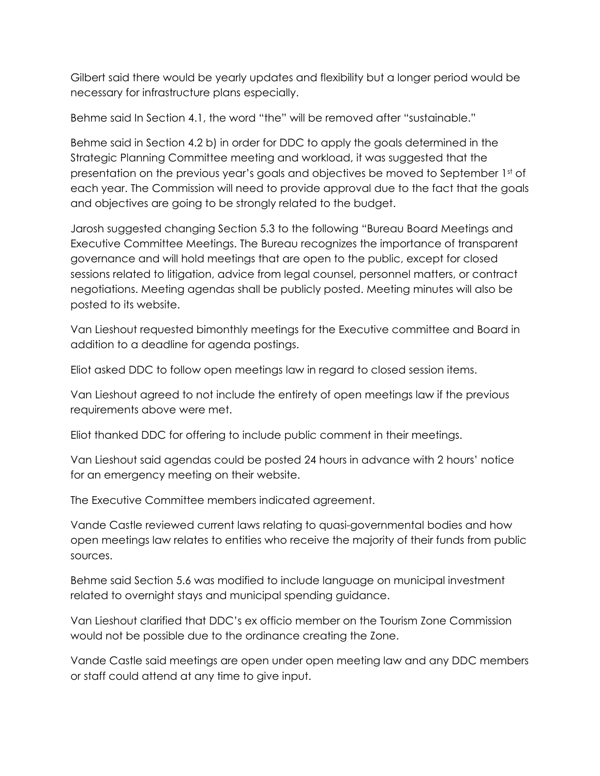Gilbert said there would be yearly updates and flexibility but a longer period would be necessary for infrastructure plans especially.

Behme said In Section 4.1, the word "the" will be removed after "sustainable."

Behme said in Section 4.2 b) in order for DDC to apply the goals determined in the Strategic Planning Committee meeting and workload, it was suggested that the presentation on the previous year's goals and objectives be moved to September 1st of each year. The Commission will need to provide approval due to the fact that the goals and objectives are going to be strongly related to the budget.

Jarosh suggested changing Section 5.3 to the following "Bureau Board Meetings and Executive Committee Meetings. The Bureau recognizes the importance of transparent governance and will hold meetings that are open to the public, except for closed sessions related to litigation, advice from legal counsel, personnel matters, or contract negotiations. Meeting agendas shall be publicly posted. Meeting minutes will also be posted to its website.

Van Lieshout requested bimonthly meetings for the Executive committee and Board in addition to a deadline for agenda postings.

Eliot asked DDC to follow open meetings law in regard to closed session items.

Van Lieshout agreed to not include the entirety of open meetings law if the previous requirements above were met.

Eliot thanked DDC for offering to include public comment in their meetings.

Van Lieshout said agendas could be posted 24 hours in advance with 2 hours' notice for an emergency meeting on their website.

The Executive Committee members indicated agreement.

Vande Castle reviewed current laws relating to quasi-governmental bodies and how open meetings law relates to entities who receive the majority of their funds from public sources.

Behme said Section 5.6 was modified to include language on municipal investment related to overnight stays and municipal spending guidance.

Van Lieshout clarified that DDC's ex officio member on the Tourism Zone Commission would not be possible due to the ordinance creating the Zone.

Vande Castle said meetings are open under open meeting law and any DDC members or staff could attend at any time to give input.